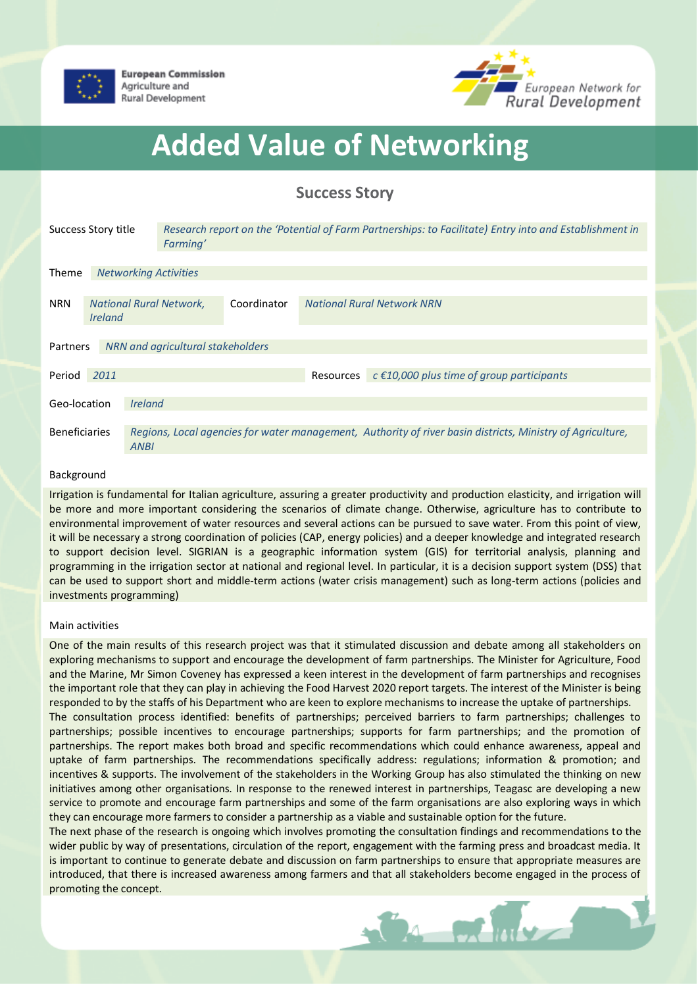



## **Added Value of Networking**

## **Success Story**

| Success Story title                           |                                                                |                                                                                                                    | Research report on the 'Potential of Farm Partnerships: to Facilitate) Entry into and Establishment in<br>Farming' |             |                                   |                                                          |  |
|-----------------------------------------------|----------------------------------------------------------------|--------------------------------------------------------------------------------------------------------------------|--------------------------------------------------------------------------------------------------------------------|-------------|-----------------------------------|----------------------------------------------------------|--|
| <b>Theme</b>                                  | <b>Networking Activities</b>                                   |                                                                                                                    |                                                                                                                    |             |                                   |                                                          |  |
|                                               |                                                                |                                                                                                                    |                                                                                                                    |             |                                   |                                                          |  |
| <b>NRN</b>                                    | <b>National Rural Network,</b><br><i><u><b>Ireland</b></u></i> |                                                                                                                    |                                                                                                                    | Coordinator | <b>National Rural Network NRN</b> |                                                          |  |
|                                               |                                                                |                                                                                                                    |                                                                                                                    |             |                                   |                                                          |  |
| NRN and agricultural stakeholders<br>Partners |                                                                |                                                                                                                    |                                                                                                                    |             |                                   |                                                          |  |
| Period                                        | 2011                                                           |                                                                                                                    |                                                                                                                    |             |                                   | Resources $c \in 10,000$ plus time of group participants |  |
| Geo-location                                  |                                                                |                                                                                                                    |                                                                                                                    |             |                                   |                                                          |  |
|                                               |                                                                | <i><u><b>Ireland</b></u></i>                                                                                       |                                                                                                                    |             |                                   |                                                          |  |
| <b>Beneficiaries</b>                          |                                                                | Regions, Local agencies for water management, Authority of river basin districts, Ministry of Agriculture,<br>ANBI |                                                                                                                    |             |                                   |                                                          |  |

## Background

Irrigation is fundamental for Italian agriculture, assuring a greater productivity and production elasticity, and irrigation will be more and more important considering the scenarios of climate change. Otherwise, agriculture has to contribute to environmental improvement of water resources and several actions can be pursued to save water. From this point of view, it will be necessary a strong coordination of policies (CAP, energy policies) and a deeper knowledge and integrated research to support decision level. SIGRIAN is a geographic information system (GIS) for territorial analysis, planning and programming in the irrigation sector at national and regional level. In particular, it is a decision support system (DSS) that can be used to support short and middle-term actions (water crisis management) such as long-term actions (policies and investments programming)

## Main activities

One of the main results of this research project was that it stimulated discussion and debate among all stakeholders on exploring mechanisms to support and encourage the development of farm partnerships. The Minister for Agriculture, Food and the Marine, Mr Simon Coveney has expressed a keen interest in the development of farm partnerships and recognises the important role that they can play in achieving the Food Harvest 2020 report targets. The interest of the Minister is being responded to by the staffs of his Department who are keen to explore mechanisms to increase the uptake of partnerships.

The consultation process identified: benefits of partnerships; perceived barriers to farm partnerships; challenges to partnerships; possible incentives to encourage partnerships; supports for farm partnerships; and the promotion of partnerships. The report makes both broad and specific recommendations which could enhance awareness, appeal and uptake of farm partnerships. The recommendations specifically address: regulations; information & promotion; and incentives & supports. The involvement of the stakeholders in the Working Group has also stimulated the thinking on new initiatives among other organisations. In response to the renewed interest in partnerships, Teagasc are developing a new service to promote and encourage farm partnerships and some of the farm organisations are also exploring ways in which they can encourage more farmers to consider a partnership as a viable and sustainable option for the future.

The next phase of the research is ongoing which involves promoting the consultation findings and recommendations to the wider public by way of presentations, circulation of the report, engagement with the farming press and broadcast media. It is important to continue to generate debate and discussion on farm partnerships to ensure that appropriate measures are introduced, that there is increased awareness among farmers and that all stakeholders become engaged in the process of promoting the concept.